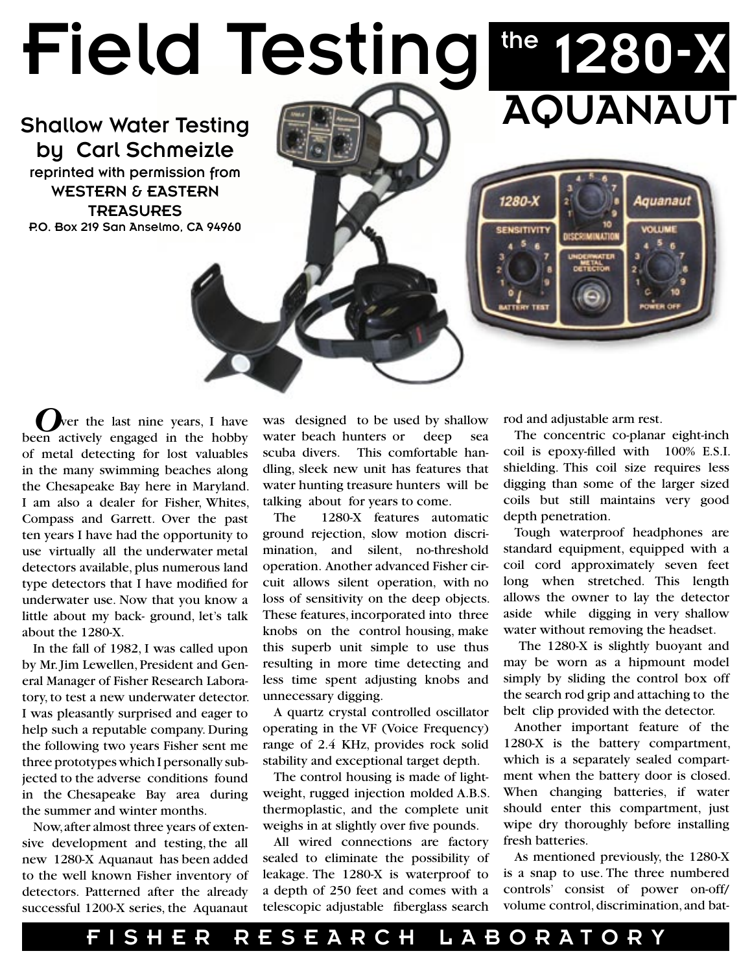# Field Testing

Shallow Water Testing by Carl Schmeizle reprinted with permission from WESTERN & EASTERN **TREASURES** P.O. Box 219 San Anselmo, CA 94960

# the 1280-X AQUANAUT

Aquanaut

ver the last nine years, I have been actively engaged in the hobby of metal detecting for lost valuables in the many swimming beaches along the Chesapeake Bay here in Maryland. I am also a dealer for Fisher, Whites, Compass and Garrett. Over the past ten years I have had the opportunity to use virtually all the underwater metal detectors available, plus numerous land type detectors that I have modified for underwater use. Now that you know a little about my back- ground, let's talk about the 1280-X.

In the fall of 1982, I was called upon by Mr. Jim Lewellen, President and General Manager of Fisher Research Laboratory, to test a new underwater detector. I was pleasantly surprised and eager to help such a reputable company. During the following two years Fisher sent me three prototypes which I personally subjected to the adverse conditions found in the Chesapeake Bay area during the summer and winter months.

Now, after almost three years of extensive development and testing, the all new 1280-X Aquanaut has been added to the well known Fisher inventory of detectors. Patterned after the already successful 1200-X series, the Aquanaut

was designed to be used by shallow water beach hunters or deep sea scuba divers. This comfortable handling, sleek new unit has features that water hunting treasure hunters will be talking about for years to come.

The 1280-X features automatic ground rejection, slow motion discrimination, and silent, no-threshold operation. Another advanced Fisher circuit allows silent operation, with no loss of sensitivity on the deep objects. These features, incorporated into three knobs on the control housing, make this superb unit simple to use thus resulting in more time detecting and less time spent adjusting knobs and unnecessary digging.

A quartz crystal controlled oscillator operating in the VF (Voice Frequency) range of 2.4 KHz, provides rock solid stability and exceptional target depth.

The control housing is made of lightweight, rugged injection molded A.B.S. thermoplastic, and the complete unit weighs in at slightly over five pounds.

All wired connections are factory sealed to eliminate the possibility of leakage. The 1280-X is waterproof to a depth of 250 feet and comes with a telescopic adjustable fiberglass search rod and adjustable arm rest.

1280-X

The concentric co-planar eight-inch coil is epoxy-filled with 100% E.S.I. shielding. This coil size requires less digging than some of the larger sized coils but still maintains very good depth penetration.

Tough waterproof headphones are standard equipment, equipped with a coil cord approximately seven feet long when stretched. This length allows the owner to lay the detector aside while digging in very shallow water without removing the headset.

 The 1280-X is slightly buoyant and may be worn as a hipmount model simply by sliding the control box off the search rod grip and attaching to the belt clip provided with the detector.

Another important feature of the 1280-X is the battery compartment, which is a separately sealed compartment when the battery door is closed. When changing batteries, if water should enter this compartment, just wipe dry thoroughly before installing fresh batteries.

As mentioned previously, the 1280-X is a snap to use. The three numbered controls' consist of power on-off/ volume control, discrimination, and bat-